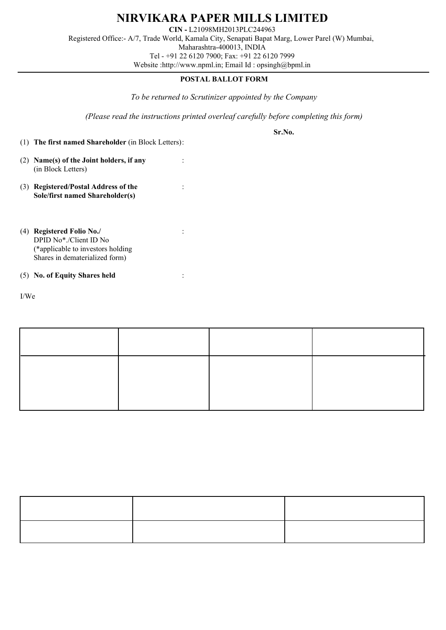

**NIRVIKARA PAPER MILLS LIMITED**

**CIN -** L21098MH2013PLC244963

Registered Office:- A/7, Trade World, Kamala City, Senapati Bapat Marg, Lower Parel (W) Mumbai, Maharashtra-400013, INDIA

Tel - +91 22 6120 7900; Fax: +91 22 6120 7999

Website :http://www.npml.in; Email Id : opsingh@bpml.in

## **POSTAL BALLOT FORM**

*To be returned to Scrutinizer appointed by the Company*

*(Please read the instructions printed overleaf carefully before completing this form)*

**Sr.No.** 

- (1) **The first named Shareholder** (in Block Letters):
- (2) **Name(s) of the Joint holders, if any** : (in Block Letters)
- (3) **Registered/Postal Address of the** : **Sole/first named Shareholder(s)**
- (4) **Registered Folio No./** : DPID No\*./Client ID No (\*applicable to investors holding Shares in dematerialized form)

## (5) **No. of Equity Shares held** :

I/We hereby exercise my / our vote in respect of Resolution to be passed through Postal Ballot for the business stated in the Postal Ballot Notice dated 1st July, 2016 by sending my/our assent (FOR) or dissent (AGAINST) to the said Resolution by placing tick mark  $(\sqrt{\ })$  at the appropriate box below:

| <b>Description</b>                                                                                                                     | <b>No. of Shares</b> | <b>I/We assent to the Resolution</b><br>(FOR) | I/We dissent to the Resolution<br>(AGAINST) |
|----------------------------------------------------------------------------------------------------------------------------------------|----------------------|-----------------------------------------------|---------------------------------------------|
| Special Resolution for change<br>of name of the Company from<br>Nirvikara Paper Mills Limited<br>to Balkrishana Paper Mills<br>Limited |                      |                                               |                                             |

Place:

Date: (Signature of the Shareholder)

## **ELECTRONIC VOTING PARTICULARS**

| <b>EVEN</b><br>(E-voting event number) | <b>USER ID</b> | <b>PASSWORD/PIN</b> |
|----------------------------------------|----------------|---------------------|
| 104307                                 |                | a.<br>ж             |

Note : (i) Please select EVEN as 104307 while casting your vote through electronic mode.

(ii) Last date for receipt of Postal Ballot by the Scrutinizer is on 10th August, 2016 upto 5.00 p.m.

(iii) Please read carefully instructions printed overleaf before exercising the vote.